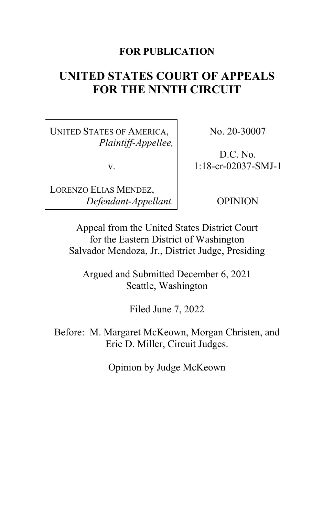# **FOR PUBLICATION**

# **UNITED STATES COURT OF APPEALS FOR THE NINTH CIRCUIT**

UNITED STATES OF AMERICA, *Plaintiff-Appellee,*

v.

LORENZO ELIAS MENDEZ, *Defendant-Appellant.* No. 20-30007

D.C. No. 1:18-cr-02037-SMJ-1

OPINION

Appeal from the United States District Court for the Eastern District of Washington Salvador Mendoza, Jr., District Judge, Presiding

Argued and Submitted December 6, 2021 Seattle, Washington

Filed June 7, 2022

Before: M. Margaret McKeown, Morgan Christen, and Eric D. Miller, Circuit Judges.

Opinion by Judge McKeown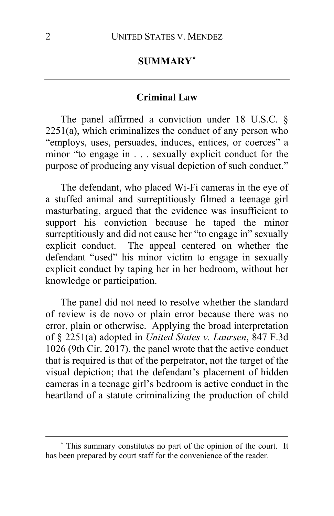# **SUMMARY[\\*](#page-1-0)**

#### **Criminal Law**

The panel affirmed a conviction under 18 U.S.C. § 2251(a), which criminalizes the conduct of any person who "employs, uses, persuades, induces, entices, or coerces" a minor "to engage in . . . sexually explicit conduct for the purpose of producing any visual depiction of such conduct."

The defendant, who placed Wi-Fi cameras in the eye of a stuffed animal and surreptitiously filmed a teenage girl masturbating, argued that the evidence was insufficient to support his conviction because he taped the minor surreptitiously and did not cause her "to engage in" sexually explicit conduct. The appeal centered on whether the defendant "used" his minor victim to engage in sexually explicit conduct by taping her in her bedroom, without her knowledge or participation.

The panel did not need to resolve whether the standard of review is de novo or plain error because there was no error, plain or otherwise. Applying the broad interpretation of § 2251(a) adopted in *United States v. Laursen*, 847 F.3d 1026 (9th Cir. 2017), the panel wrote that the active conduct that is required is that of the perpetrator, not the target of the visual depiction; that the defendant's placement of hidden cameras in a teenage girl's bedroom is active conduct in the heartland of a statute criminalizing the production of child

<span id="page-1-0"></span>**<sup>\*</sup>** This summary constitutes no part of the opinion of the court. It has been prepared by court staff for the convenience of the reader.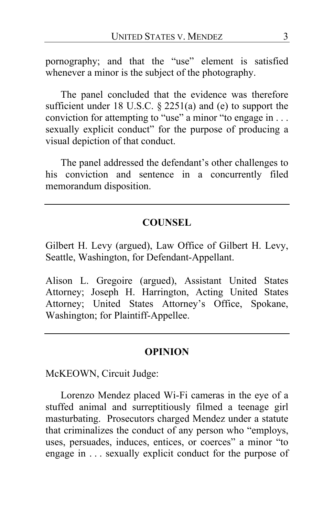pornography; and that the "use" element is satisfied whenever a minor is the subject of the photography.

The panel concluded that the evidence was therefore sufficient under 18 U.S.C. § 2251(a) and (e) to support the conviction for attempting to "use" a minor "to engage in . . . sexually explicit conduct" for the purpose of producing a visual depiction of that conduct.

The panel addressed the defendant's other challenges to his conviction and sentence in a concurrently filed memorandum disposition.

### **COUNSEL**

Gilbert H. Levy (argued), Law Office of Gilbert H. Levy, Seattle, Washington, for Defendant-Appellant.

Alison L. Gregoire (argued), Assistant United States Attorney; Joseph H. Harrington, Acting United States Attorney; United States Attorney's Office, Spokane, Washington; for Plaintiff-Appellee.

#### **OPINION**

McKEOWN, Circuit Judge:

Lorenzo Mendez placed Wi-Fi cameras in the eye of a stuffed animal and surreptitiously filmed a teenage girl masturbating. Prosecutors charged Mendez under a statute that criminalizes the conduct of any person who "employs, uses, persuades, induces, entices, or coerces" a minor "to engage in ... sexually explicit conduct for the purpose of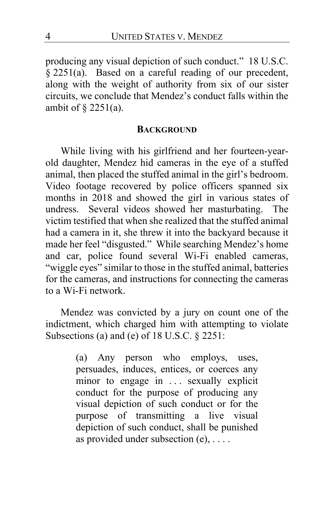producing any visual depiction of such conduct." 18 U.S.C. § 2251(a). Based on a careful reading of our precedent, along with the weight of authority from six of our sister circuits, we conclude that Mendez's conduct falls within the ambit of § 2251(a).

#### **BACKGROUND**

While living with his girlfriend and her fourteen-yearold daughter, Mendez hid cameras in the eye of a stuffed animal, then placed the stuffed animal in the girl's bedroom. Video footage recovered by police officers spanned six months in 2018 and showed the girl in various states of undress. Several videos showed her masturbating. The victim testified that when she realized that the stuffed animal had a camera in it, she threw it into the backyard because it made her feel "disgusted." While searching Mendez's home and car, police found several Wi-Fi enabled cameras, "wiggle eyes" similar to those in the stuffed animal, batteries for the cameras, and instructions for connecting the cameras to a Wi-Fi network.

Mendez was convicted by a jury on count one of the indictment, which charged him with attempting to violate Subsections (a) and (e) of  $18$  U.S.C.  $\S$  2251:

> (a) Any person who employs, uses, persuades, induces, entices, or coerces any minor to engage in ... sexually explicit conduct for the purpose of producing any visual depiction of such conduct or for the purpose of transmitting a live visual depiction of such conduct, shall be punished as provided under subsection  $(e), \ldots$ .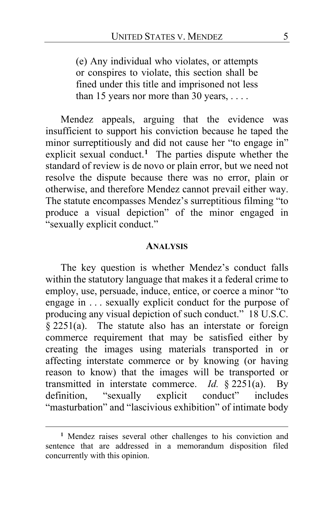(e) Any individual who violates, or attempts or conspires to violate, this section shall be fined under this title and imprisoned not less than 15 years nor more than 30 years, ....

Mendez appeals, arguing that the evidence was insufficient to support his conviction because he taped the minor surreptitiously and did not cause her "to engage in" explicit sexual conduct.**[1](#page-4-0)** The parties dispute whether the standard of review is de novo or plain error, but we need not resolve the dispute because there was no error, plain or otherwise, and therefore Mendez cannot prevail either way. The statute encompasses Mendez's surreptitious filming "to produce a visual depiction" of the minor engaged in "sexually explicit conduct."

#### **ANALYSIS**

The key question is whether Mendez's conduct falls within the statutory language that makes it a federal crime to employ, use, persuade, induce, entice, or coerce a minor "to engage in . . . sexually explicit conduct for the purpose of producing any visual depiction of such conduct." 18 U.S.C.  $§$  2251(a). The statute also has an interstate or foreign commerce requirement that may be satisfied either by creating the images using materials transported in or affecting interstate commerce or by knowing (or having reason to know) that the images will be transported or transmitted in interstate commerce. *Id.* § 2251(a). By definition, "sexually explicit conduct" includes definition, "sexually explicit conduct" includes "masturbation" and "lascivious exhibition" of intimate body

<span id="page-4-0"></span>**<sup>1</sup>** Mendez raises several other challenges to his conviction and sentence that are addressed in a memorandum disposition filed concurrently with this opinion.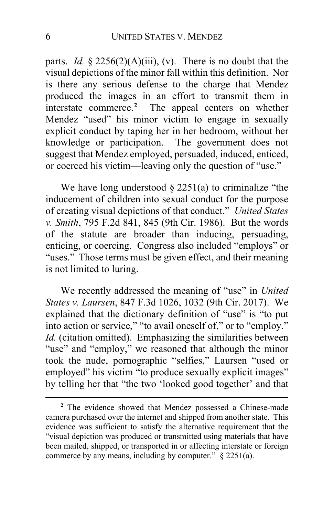parts. *Id.* § 2256(2)(A)(iii), (v). There is no doubt that the visual depictions of the minor fall within this definition. Nor is there any serious defense to the charge that Mendez produced the images in an effort to transmit them in interstate commerce.**[2](#page-5-0)** The appeal centers on whether Mendez "used" his minor victim to engage in sexually explicit conduct by taping her in her bedroom, without her knowledge or participation. The government does not suggest that Mendez employed, persuaded, induced, enticed, or coerced his victim—leaving only the question of "use."

We have long understood  $\S 2251(a)$  to criminalize "the inducement of children into sexual conduct for the purpose of creating visual depictions of that conduct." *United States v. Smith*, 795 F.2d 841, 845 (9th Cir. 1986). But the words of the statute are broader than inducing, persuading, enticing, or coercing. Congress also included "employs" or "uses." Those terms must be given effect, and their meaning is not limited to luring.

We recently addressed the meaning of "use" in *United States v. Laursen*, 847 F.3d 1026, 1032 (9th Cir. 2017). We explained that the dictionary definition of "use" is "to put into action or service," "to avail oneself of," or to "employ." *Id.* (citation omitted).Emphasizing the similarities between "use" and "employ," we reasoned that although the minor took the nude, pornographic "selfies," Laursen "used or employed" his victim "to produce sexually explicit images" by telling her that "the two 'looked good together' and that

<span id="page-5-0"></span>**<sup>2</sup>** The evidence showed that Mendez possessed a Chinese-made camera purchased over the internet and shipped from another state. This evidence was sufficient to satisfy the alternative requirement that the "visual depiction was produced or transmitted using materials that have been mailed, shipped, or transported in or affecting interstate or foreign commerce by any means, including by computer."  $\S$  2251(a).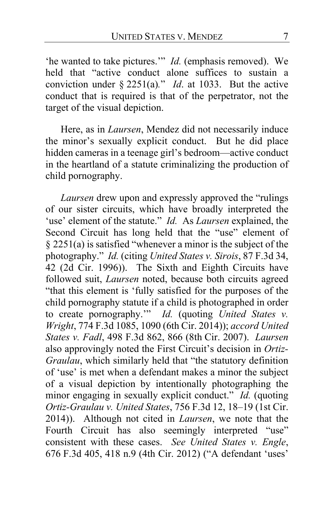'he wanted to take pictures.'" *Id.* (emphasis removed). We held that "active conduct alone suffices to sustain a conviction under § 2251(a)*.*" *Id*. at 1033. But the active conduct that is required is that of the perpetrator, not the target of the visual depiction.

Here, as in *Laursen*, Mendez did not necessarily induce the minor's sexually explicit conduct. But he did place hidden cameras in a teenage girl's bedroom—active conduct in the heartland of a statute criminalizing the production of child pornography.

*Laursen* drew upon and expressly approved the "rulings of our sister circuits, which have broadly interpreted the 'use' element of the statute." *Id.* As *Laursen* explained, the Second Circuit has long held that the "use" element of § 2251(a) is satisfied "whenever a minor is the subject of the photography." *Id.* (citing *United States v. Sirois*, 87 F.3d 34, 42 (2d Cir. 1996)). The Sixth and Eighth Circuits have followed suit, *Laursen* noted, because both circuits agreed "that this element is 'fully satisfied for the purposes of the child pornography statute if a child is photographed in order to create pornography.'" *Id.* (quoting *United States v. Wright*, 774 F.3d 1085, 1090 (6th Cir. 2014)); *accord United States v. Fadl*, 498 F.3d 862, 866 (8th Cir. 2007). *Laursen* also approvingly noted the First Circuit's decision in *Ortiz-Graulau*, which similarly held that "the statutory definition of 'use' is met when a defendant makes a minor the subject of a visual depiction by intentionally photographing the minor engaging in sexually explicit conduct." *Id.* (quoting *Ortiz-Graulau v. United States*, 756 F.3d 12, 18–19 (1st Cir. 2014)). Although not cited in *Laursen*, we note that the Fourth Circuit has also seemingly interpreted "use" consistent with these cases. *See United States v. Engle*, 676 F.3d 405, 418 n.9 (4th Cir. 2012) ("A defendant 'uses'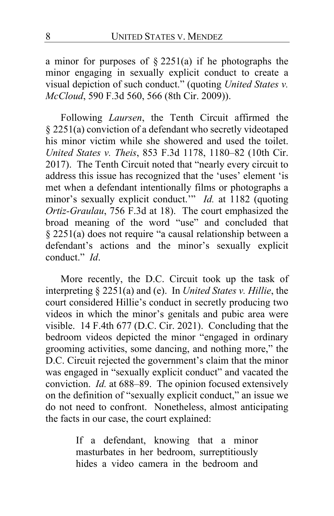a minor for purposes of  $\S 2251(a)$  if he photographs the minor engaging in sexually explicit conduct to create a visual depiction of such conduct." (quoting *United States v. McCloud*, 590 F.3d 560, 566 (8th Cir. 2009)).

Following *Laursen*, the Tenth Circuit affirmed the § 2251(a) conviction of a defendant who secretly videotaped his minor victim while she showered and used the toilet. *United States v. Theis*, 853 F.3d 1178, 1180–82 (10th Cir. 2017). The Tenth Circuit noted that "nearly every circuit to address this issue has recognized that the 'uses' element 'is met when a defendant intentionally films or photographs a minor's sexually explicit conduct.<sup>'"</sup> *Id.* at 1182 (quoting *Ortiz-Graulau*, 756 F.3d at 18). The court emphasized the broad meaning of the word "use" and concluded that § 2251(a) does not require "a causal relationship between a defendant's actions and the minor's sexually explicit conduct." *Id*.

More recently, the D.C. Circuit took up the task of interpreting § 2251(a) and (e). In *United States v. Hillie*, the court considered Hillie's conduct in secretly producing two videos in which the minor's genitals and pubic area were visible. 14 F.4th 677 (D.C. Cir. 2021). Concluding that the bedroom videos depicted the minor "engaged in ordinary grooming activities, some dancing, and nothing more," the D.C. Circuit rejected the government's claim that the minor was engaged in "sexually explicit conduct" and vacated the conviction. *Id.* at 688–89. The opinion focused extensively on the definition of "sexually explicit conduct," an issue we do not need to confront. Nonetheless, almost anticipating the facts in our case, the court explained:

> If a defendant, knowing that a minor masturbates in her bedroom, surreptitiously hides a video camera in the bedroom and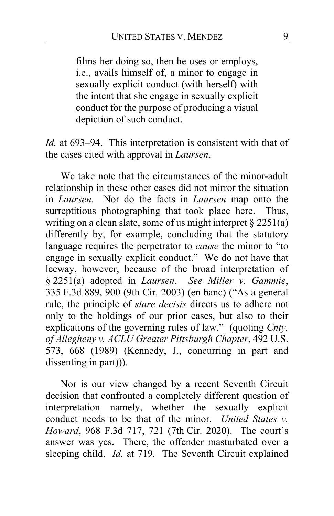films her doing so, then he uses or employs, i.e., avails himself of, a minor to engage in sexually explicit conduct (with herself) with the intent that she engage in sexually explicit conduct for the purpose of producing a visual depiction of such conduct.

*Id.* at 693–94. This interpretation is consistent with that of the cases cited with approval in *Laursen*.

We take note that the circumstances of the minor-adult relationship in these other cases did not mirror the situation in *Laursen*. Nor do the facts in *Laursen* map onto the surreptitious photographing that took place here. Thus, writing on a clean slate, some of us might interpret § 2251(a) differently by, for example, concluding that the statutory language requires the perpetrator to *cause* the minor to "to engage in sexually explicit conduct." We do not have that leeway, however, because of the broad interpretation of § 2251(a) adopted in *Laursen*. *See Miller v. Gammie*, 335 F.3d 889, 900 (9th Cir. 2003) (en banc) ("As a general rule, the principle of *stare decisis* directs us to adhere not only to the holdings of our prior cases, but also to their explications of the governing rules of law." (quoting *Cnty. of Allegheny v. ACLU Greater Pittsburgh Chapter*, 492 U.S. 573, 668 (1989) (Kennedy, J., concurring in part and dissenting in part)).

Nor is our view changed by a recent Seventh Circuit decision that confronted a completely different question of interpretation—namely, whether the sexually explicit conduct needs to be that of the minor. *United States v. Howard*, 968 F.3d 717, 721 (7th Cir. 2020). The court's answer was yes. There, the offender masturbated over a sleeping child. *Id.* at 719. The Seventh Circuit explained